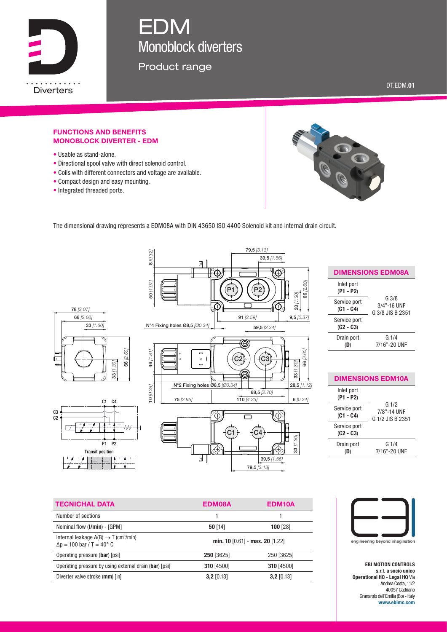

# EDM Monoblock diverters

Product range

DT.EDM.01

#### FUNCTIONS AND BENEFITS MONOBLOCK DIVERTER - EDM

- Usable as stand-alone.
- Directional spool valve with direct solenoid control.
- Coils with different connectors and voltage are available.
- Compact design and easy mounting.
- Integrated threaded ports.



The dimensional drawing represents a EDM08A with DIN 43650 ISO 4400 Solenoid kit and internal drain circuit.



| <b>DIMENSIONS EDM08A</b>    |                                          |  |  |
|-----------------------------|------------------------------------------|--|--|
| Inlet port<br>$(P1 - P2)$   |                                          |  |  |
| Service port<br>$(C1 - C4)$ | G.3/8<br>3/4"-16 UNF<br>G 3/8 JIS B 2351 |  |  |
| Service port<br>$(C2 - C3)$ |                                          |  |  |
| Drain port                  | G 1/4<br>7/16"-20 UNF                    |  |  |

| <b>DIMENSIONS EDM10A</b>    |                                                     |  |  |
|-----------------------------|-----------------------------------------------------|--|--|
| Inlet port<br>$(P1 - P2)$   | G <sub>1/2</sub><br>7/8"-14 UNF<br>G 1/2 JIS B 2351 |  |  |
| Service port<br>$(C1 - C4)$ |                                                     |  |  |
| Service port<br>$(C2 - C3)$ |                                                     |  |  |
| Drain port                  | G1/4<br>7/16"-20 UNF                                |  |  |

| <b>TECNICHAL DATA</b>                                                                            | EDM08A                          | EDM <sub>10</sub> A |
|--------------------------------------------------------------------------------------------------|---------------------------------|---------------------|
| Number of sections                                                                               |                                 |                     |
| Nominal flow (I/min) - [GPM]                                                                     | $50$ [14]                       | $100$ [28]          |
| Internal leakage $A(B) \rightarrow T$ (cm <sup>3</sup> /min)<br>$\Delta p = 100$ bar / T = 40° C | min. 10 [0.61] - max. 20 [1.22] |                     |
| Operating pressure (bar) [psi]                                                                   | 250 [3625]                      | 250 [3625]          |
| Operating pressure by using external drain (bar) [psi]                                           | 310 [4500]                      | 310 [4500]          |
| Diverter valve stroke (mm) [in]                                                                  | $3,2$ [0.13]                    | $3,2$ [0.13]        |



EBI MOTION CONTROLS s.r.l. a socio unico Operational HQ - Legal HQ Via Andrea Costa, 11/2 40057 Cadriano Granarolo dell'Emilia (Bo) - Italy www.ebimc.com